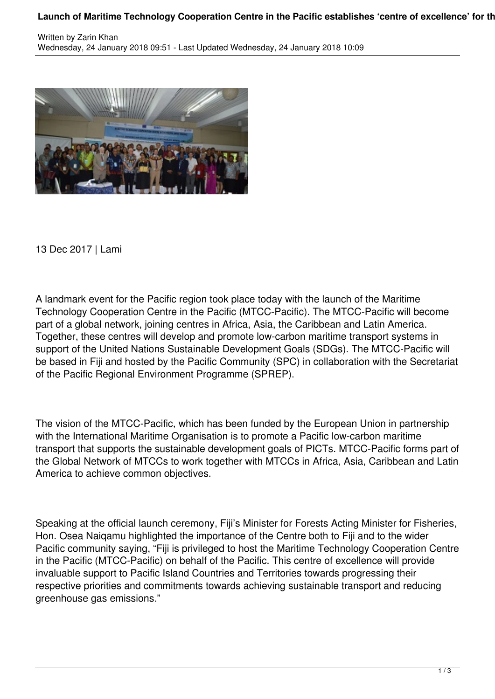## Launch of Maritime Technology Cooperation Centre in the Pacific establishes 'centre of excellence' for th



13 Dec 2017 | Lami

A landmark event for the Pacific region took place today with the launch of the Maritime Technology Cooperation Centre in the Pacific (MTCC-Pacific). The MTCC-Pacific will become part of a global network, joining centres in Africa, Asia, the Caribbean and Latin America. Together, these centres will develop and promote low-carbon maritime transport systems in support of the United Nations Sustainable Development Goals (SDGs). The MTCC-Pacific will be based in Fiji and hosted by the Pacific Community (SPC) in collaboration with the Secretariat of the Pacific Regional Environment Programme (SPREP).

The vision of the MTCC-Pacific, which has been funded by the European Union in partnership with the International Maritime Organisation is to promote a Pacific low-carbon maritime transport that supports the sustainable development goals of PICTs. MTCC-Pacific forms part of the Global Network of MTCCs to work together with MTCCs in Africa, Asia, Caribbean and Latin America to achieve common objectives.

Speaking at the official launch ceremony, Fiji's Minister for Forests Acting Minister for Fisheries, Hon. Osea Naiqamu highlighted the importance of the Centre both to Fiji and to the wider Pacific community saying, "Fiji is privileged to host the Maritime Technology Cooperation Centre in the Pacific (MTCC-Pacific) on behalf of the Pacific. This centre of excellence will provide invaluable support to Pacific Island Countries and Territories towards progressing their respective priorities and commitments towards achieving sustainable transport and reducing greenhouse gas emissions."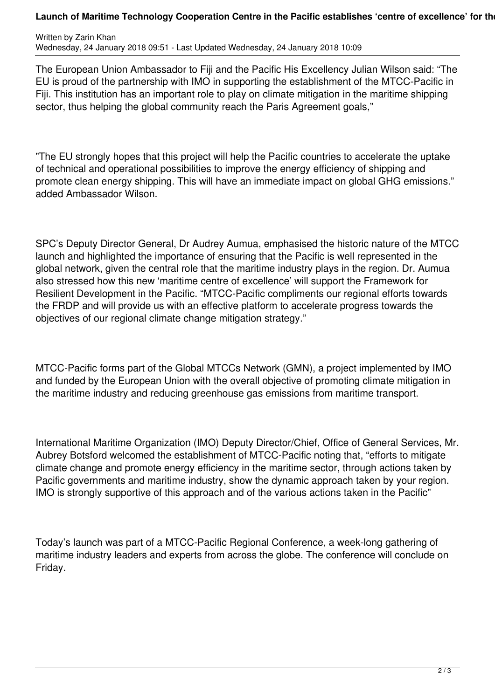## Launch of Maritime Technology Cooperation Centre in the Pacific establishes 'centre of excellence' for the

Written by Zarin Khan Wednesday, 24 January 2018 09:51 - Last Updated Wednesday, 24 January 2018 10:09

The European Union Ambassador to Fiji and the Pacific His Excellency Julian Wilson said: "The EU is proud of the partnership with IMO in supporting the establishment of the MTCC-Pacific in Fiji. This institution has an important role to play on climate mitigation in the maritime shipping sector, thus helping the global community reach the Paris Agreement goals."

"The EU strongly hopes that this project will help the Pacific countries to accelerate the uptake of technical and operational possibilities to improve the energy efficiency of shipping and promote clean energy shipping. This will have an immediate impact on global GHG emissions." added Ambassador Wilson.

SPC's Deputy Director General, Dr Audrey Aumua, emphasised the historic nature of the MTCC launch and highlighted the importance of ensuring that the Pacific is well represented in the global network, given the central role that the maritime industry plays in the region. Dr. Aumua also stressed how this new 'maritime centre of excellence' will support the Framework for Resilient Development in the Pacific. "MTCC-Pacific compliments our regional efforts towards the FRDP and will provide us with an effective platform to accelerate progress towards the objectives of our regional climate change mitigation strategy."

MTCC-Pacific forms part of the Global MTCCs Network (GMN), a project implemented by IMO and funded by the European Union with the overall objective of promoting climate mitigation in the maritime industry and reducing greenhouse gas emissions from maritime transport.

International Maritime Organization (IMO) Deputy Director/Chief, Office of General Services, Mr. Aubrey Botsford welcomed the establishment of MTCC-Pacific noting that, "efforts to mitigate climate change and promote energy efficiency in the maritime sector, through actions taken by Pacific governments and maritime industry, show the dynamic approach taken by your region. IMO is strongly supportive of this approach and of the various actions taken in the Pacific"

Today's launch was part of a MTCC-Pacific Regional Conference, a week-long gathering of maritime industry leaders and experts from across the globe. The conference will conclude on Friday.